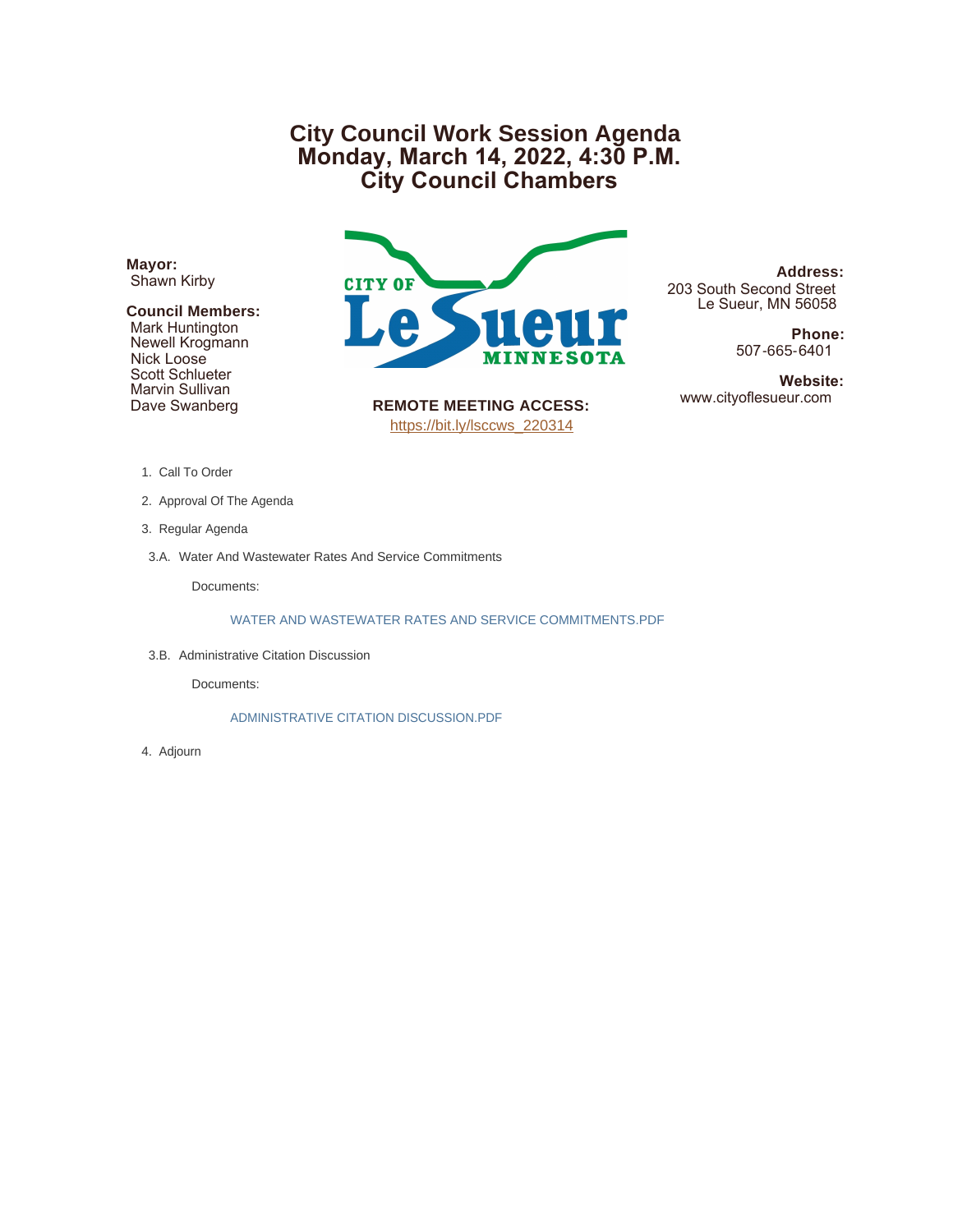# **City Council Work Session Agenda Monday, March 14, 2022, 4:30 P.M. City Council Chambers**

**Mayor:** Shawn Kirby

#### **Council Members:**

 Mark Huntington Newell Krogmann Nick Loose Scott Schlueter Marvin Sullivan Dave Swanberg



**REMOTE MEETING ACCESS:** [https://bit.ly/lsccws\\_220314](https://bit.ly/lsccws_220314)

**Address:** 203 South Second Street Le Sueur, MN 56058

> **Phone:** 507-665-6401

**Website:**<br>www.cityoflesueur.com

- 1. Call To Order
- 2. Approval Of The Agenda
- 3. Regular Agenda
- 3.A. Water And Wastewater Rates And Service Commitments

Documents:

WATER AND WASTEWATER RATES AND SERVICE COMMITMENTS.PDF

3.B. Administrative Citation Discussion

Documents:

ADMINISTRATIVE CITATION DISCUSSION.PDF

Adjourn 4.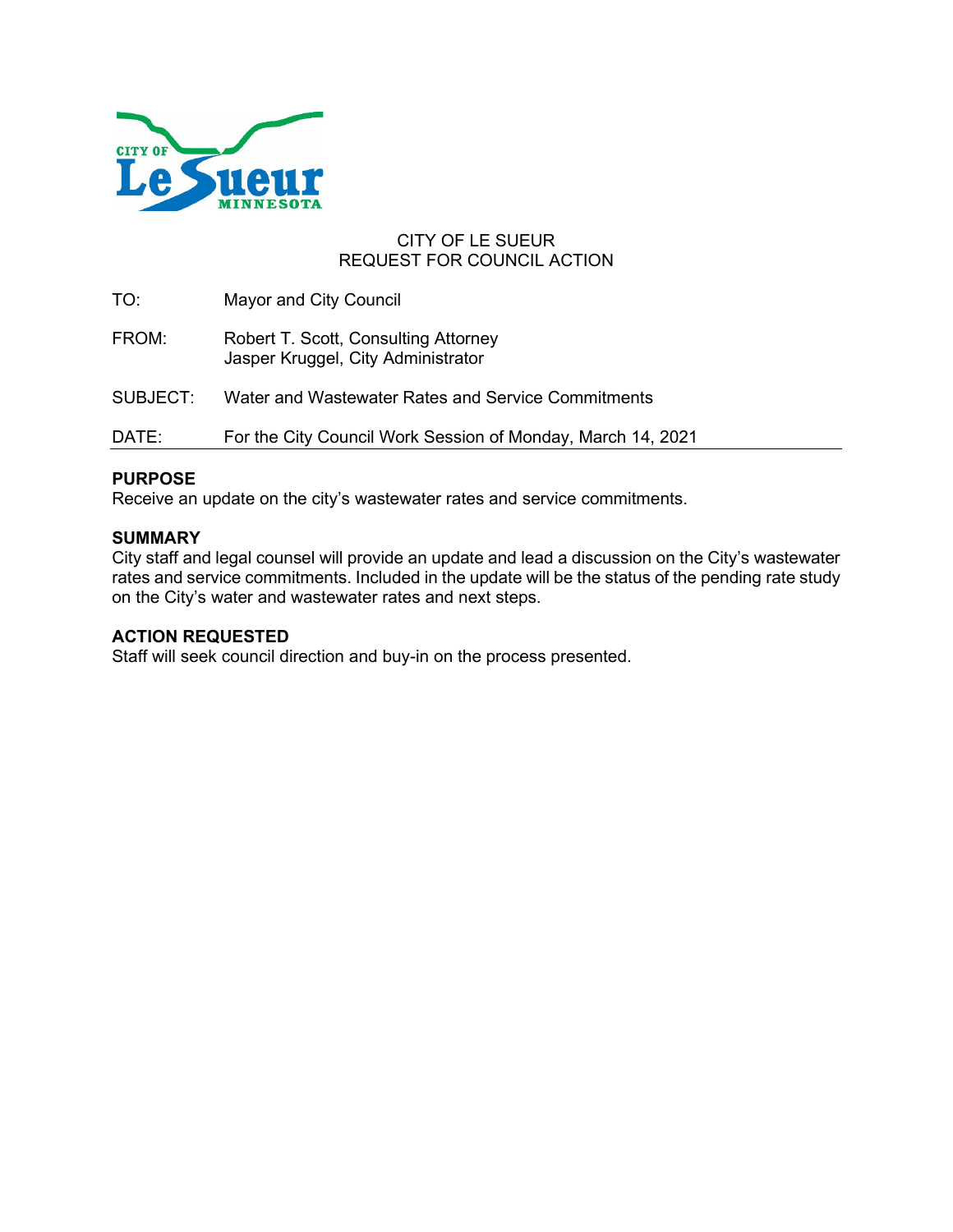

### CITY OF LE SUEUR REQUEST FOR COUNCIL ACTION

TO: Mayor and City Council FROM: Robert T. Scott, Consulting Attorney Jasper Kruggel, City Administrator SUBJECT: Water and Wastewater Rates and Service Commitments DATE: For the City Council Work Session of Monday, March 14, 2021

# **PURPOSE**

Receive an update on the city's wastewater rates and service commitments.

#### **SUMMARY**

City staff and legal counsel will provide an update and lead a discussion on the City's wastewater rates and service commitments. Included in the update will be the status of the pending rate study on the City's water and wastewater rates and next steps.

#### **ACTION REQUESTED**

Staff will seek council direction and buy-in on the process presented.